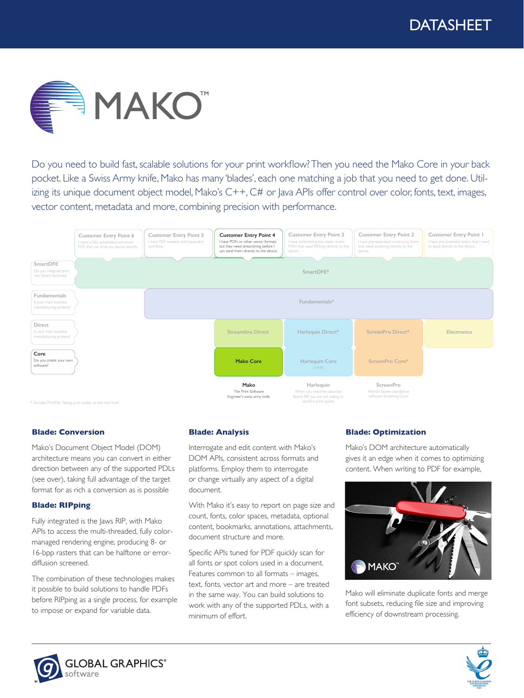

Do you need to build fast, scalable solutions for your print workflow? Then you need the Mako Core in your back pocket. Like a Swiss Army knife, Mako has many 'blades', each one matching a job that you need to get done. Utilizing its unique document object model, Mako's C++, C# or Java APIs offer control over color, fonts, text, images, vector content, metadata and more, combining precision with performance.



### **Blade: Conversion**

Mako's Document Object Model (DOM) architecture means you can convert in either direction between any of the supported PDLs (see over), taking full advantage of the target format for as rich a conversion as is possible

### **Blade: RIPping**

Fully integrated is the Jaws RIP, with Mako APIs to access the multi-threaded, fully colormanaged rendering engine, producing 8- or 16-bpp rasters that can be halftone or errordiffusion screened.

The combination of these technologies makes it possible to build solutions to handle PDFs before RIPping as a single process, for example to impose or expand for variable data.

# **Blade: Analysis**

Interrogate and edit content with Mako's DOM APIs, consistent across formats and platforms. Employ them to interrogate or change virtually any aspect of a digital document.

With Mako it's easy to report on page size and count, fonts, color spaces, metadata, optional content, bookmarks, annotations, attachments, document structure and more.

Specific APIs tuned for PDF quickly scan for all fonts or spot colors used in a document. Features common to all formats – images, text, fonts, vector art and more – are treated in the same way. You can build solutions to work with any of the supported PDLs, with a minimum of effort.

# **Blade: Optimization**

Mako's DOM architecture automatically gives it an edge when it comes to optimizing content. When writing to PDF for example,



Mako will eliminate duplicate fonts and merge font subsets, reducing file size and improving efficiency of downstream processing.